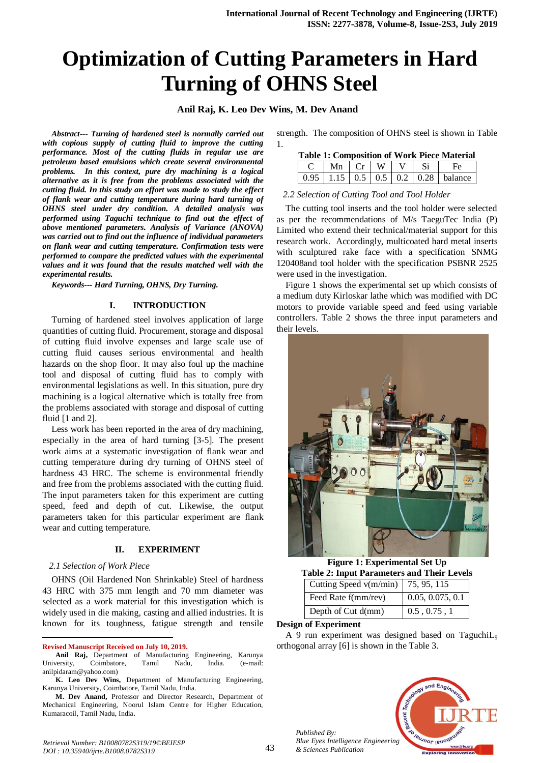# **Optimization of Cutting Parameters in Hard Turning of OHNS Steel**

**Anil Raj, K. Leo Dev Wins, M. Dev Anand** 

*Abstract--- Turning of hardened steel is normally carried out with copious supply of cutting fluid to improve the cutting performance. Most of the cutting fluids in regular use are petroleum based emulsions which create several environmental problems. In this context, pure dry machining is a logical alternative as it is free from the problems associated with the cutting fluid. In this study an effort was made to study the effect of flank wear and cutting temperature during hard turning of OHNS steel under dry condition. A detailed analysis was performed using Taguchi technique to find out the effect of above mentioned parameters. Analysis of Variance (ANOVA) was carried out to find out the influence of individual parameters on flank wear and cutting temperature. Confirmation tests were performed to compare the predicted values with the experimental values and it was found that the results matched well with the experimental results.*

*Keywords--- Hard Turning, OHNS, Dry Turning.*

## **I. INTRODUCTION**

Turning of hardened steel involves application of large quantities of cutting fluid. Procurement, storage and disposal of cutting fluid involve expenses and large scale use of cutting fluid causes serious environmental and health hazards on the shop floor. It may also foul up the machine tool and disposal of cutting fluid has to comply with environmental legislations as well. In this situation, pure dry machining is a logical alternative which is totally free from the problems associated with storage and disposal of cutting fluid [1 and 2].

Less work has been reported in the area of dry machining, especially in the area of hard turning [3-5]. The present work aims at a systematic investigation of flank wear and cutting temperature during dry turning of OHNS steel of hardness 43 HRC. The scheme is environmental friendly and free from the problems associated with the cutting fluid. The input parameters taken for this experiment are cutting speed, feed and depth of cut. Likewise, the output parameters taken for this particular experiment are flank wear and cutting temperature.

## **II. EXPERIMENT**

#### *2.1 Selection of Work Piece*

1

OHNS (Oil Hardened Non Shrinkable) Steel of hardness 43 HRC with 375 mm length and 70 mm diameter was selected as a work material for this investigation which is widely used in die making, casting and allied industries. It is known for its toughness, fatigue strength and tensile

**Revised Manuscript Received on July 10, 2019.**

strength. The composition of OHNS steel is shown in Table 1.

| <b>Table 1: Composition of Work Piece Material</b> |                                           |  |  |  |     |                                                  |  |  |  |
|----------------------------------------------------|-------------------------------------------|--|--|--|-----|--------------------------------------------------|--|--|--|
|                                                    | $\vert$ Mn $\vert$ Cr $\vert$ W $\vert$ V |  |  |  | -Si | HΑ                                               |  |  |  |
|                                                    |                                           |  |  |  |     | $0.95$   1.15   0.5   0.5   0.2   0.28   balance |  |  |  |

### *2.2 Selection of Cutting Tool and Tool Holder*

The cutting tool inserts and the tool holder were selected as per the recommendations of M/s TaeguTec India (P) Limited who extend their technical/material support for this research work. Accordingly, multicoated hard metal inserts with sculptured rake face with a specification SNMG 120408and tool holder with the specification PSBNR 2525 were used in the investigation.

Figure 1 shows the experimental set up which consists of a medium duty Kirloskar lathe which was modified with DC motors to provide variable speed and feed using variable controllers. Table 2 shows the three input parameters and their levels.



**Figure 1: Experimental Set Up Table 2: Input Parameters and Their Levels**

| Cutting Speed v(m/min)   75, 95, 115 |                      |  |
|--------------------------------------|----------------------|--|
| Feed Rate f(mm/rev)                  | 0.05, 0.075, 0.1     |  |
| Depth of Cut d(mm)                   | $0.5$ , $0.75$ , $1$ |  |
|                                      |                      |  |

#### **Design of Experiment**

A 9 run experiment was designed based on TaguchiL<sup>9</sup> orthogonal array [6] is shown in the Table 3.



**Anil Raj,** Department of Manufacturing Engineering, Karunya University, Coimbatore, Tamil Nadu, India. (e-mail: [anilpidaram@yahoo.com\)](mailto:anilpidaram@yahoo.com)

**K. Leo Dev Wins,** Department of Manufacturing Engineering, Karunya University, Coimbatore, Tamil Nadu, India.

**M. Dev Anand,** Professor and Director Research, Department of Mechanical Engineering, Noorul Islam Centre for Higher Education, Kumaracoil, Tamil Nadu, India.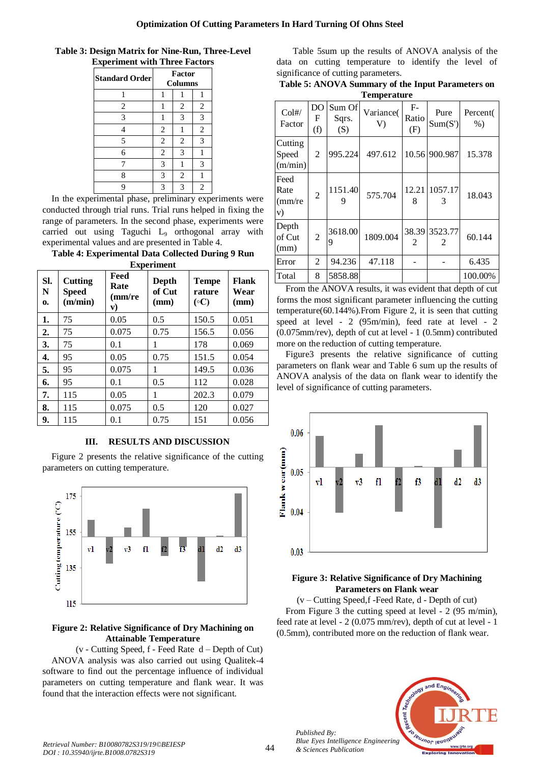**Table 3: Design Matrix for Nine-Run, Three-Level Experiment with Three Factors**

|                | Factor         |                           |
|----------------|----------------|---------------------------|
| 1              |                | 1                         |
|                | $\overline{2}$ | $\overline{2}$            |
|                | 3              | $\mathfrak{Z}$            |
| $\overline{2}$ |                | $\mathfrak{2}$            |
| $\mathbf{2}$   | $\overline{2}$ | 3                         |
| $\overline{2}$ | 3              |                           |
| 3              |                | 3                         |
| 3              | $\overline{2}$ |                           |
| 3              | 3              | $\overline{c}$            |
|                | $\cdots$       | <b>Columns</b><br>$\cdot$ |

In the experimental phase, preliminary experiments were conducted through trial runs. Trial runs helped in fixing the range of parameters. In the second phase, experiments were carried out using Taguchi L<sup>9</sup> orthogonal array with experimental values and are presented in Table 4.

**Table 4: Experimental Data Collected During 9 Run Experiment**

| SI.<br>N<br>0. | Cutting<br><b>Speed</b><br>(m/min) | x.<br>Feed<br>Rate<br>(mm/re<br>${\bf v})$ | Depth<br>of Cut<br>(mm) | <b>Tempe</b><br>rature<br>$( \circ C)$ | <b>Flank</b><br>Wear<br>(mm) |
|----------------|------------------------------------|--------------------------------------------|-------------------------|----------------------------------------|------------------------------|
| 1.             | 75                                 | 0.05                                       | 0.5                     | 150.5                                  | 0.051                        |
| 2.             | 75                                 | 0.075                                      | 0.75                    | 156.5                                  | 0.056                        |
| 3.             | 75                                 | 0.1                                        | 1                       | 178                                    | 0.069                        |
| 4.             | 95                                 | 0.05                                       | 0.75                    | 151.5                                  | 0.054                        |
| 5.             | 95                                 | 0.075                                      | 1                       | 149.5                                  | 0.036                        |
| 6.             | 95                                 | 0.1                                        | 0.5                     | 112                                    | 0.028                        |
| 7.             | 115                                | 0.05                                       | 1                       | 202.3                                  | 0.079                        |
| 8.             | 115                                | 0.075                                      | 0.5                     | 120                                    | 0.027                        |
| 9.             | 115                                | 0.1                                        | 0.75                    | 151                                    | 0.056                        |

# **III. RESULTS AND DISCUSSION**

Figure 2 presents the relative significance of the cutting parameters on cutting temperature.



## **Figure 2: Relative Significance of Dry Machining on Attainable Temperature**

 $(v - \text{Cutting Speed}, f - \text{Feed Rate } d - \text{Depth of Cut})$ ANOVA analysis was also carried out using Qualitek-4 software to find out the percentage influence of individual parameters on cutting temperature and flank wear. It was found that the interaction effects were not significant.

Table 5sum up the results of ANOVA analysis of the data on cutting temperature to identify the level of significance of cutting parameters.

| Table 5: ANOVA Summary of the Input Parameters on |
|---------------------------------------------------|
| <b>Temperature</b>                                |

| 1 cmperature                  |                |                        |                 |                      |                 |                   |  |  |
|-------------------------------|----------------|------------------------|-----------------|----------------------|-----------------|-------------------|--|--|
| Col#/<br>Factor               | DO<br>F<br>(f) | Sum Of<br>Sqrs.<br>(S) | Variance(<br>V) | $F-$<br>Ratio<br>(F) | Pure<br>Sum(S') | Percent(<br>$%$ ) |  |  |
| Cutting<br>Speed<br>(m/min)   | 2              | 995.224                | 497.612         |                      | 10.56 900.987   | 15.378            |  |  |
| Feed<br>Rate<br>(mm/re)<br>V) | $\overline{2}$ | 1151.40<br>9           | 575.704         | 12.21<br>8           | 1057.17<br>3    | 18.043            |  |  |
| Depth<br>of Cut<br>(mm)       | $\overline{2}$ | 3618.00<br>9           | 1809.004        | 38.39<br>2           | 3523.77<br>2    | 60.144            |  |  |
| Error                         | 2              | 94.236                 | 47.118          |                      |                 | 6.435             |  |  |
| Total                         | 8              | 5858.88                |                 |                      |                 | 100.00%           |  |  |

From the ANOVA results, it was evident that depth of cut forms the most significant parameter influencing the cutting temperature(60.144%).From Figure 2, it is seen that cutting speed at level - 2 (95m/min), feed rate at level - 2 (0.075mm/rev), depth of cut at level - 1 (0.5mm) contributed more on the reduction of cutting temperature.

Figure3 presents the relative significance of cutting parameters on flank wear and Table 6 sum up the results of ANOVA analysis of the data on flank wear to identify the level of significance of cutting parameters.



# **Figure 3: Relative Significance of Dry Machining Parameters on Flank wear**

(v – Cutting Speed,f -Feed Rate, d - Depth of cut) From Figure 3 the cutting speed at level - 2 (95 m/min), feed rate at level - 2 (0.075 mm/rev), depth of cut at level - 1 (0.5mm), contributed more on the reduction of flank wear.



*Published By:*

*& Sciences Publication*